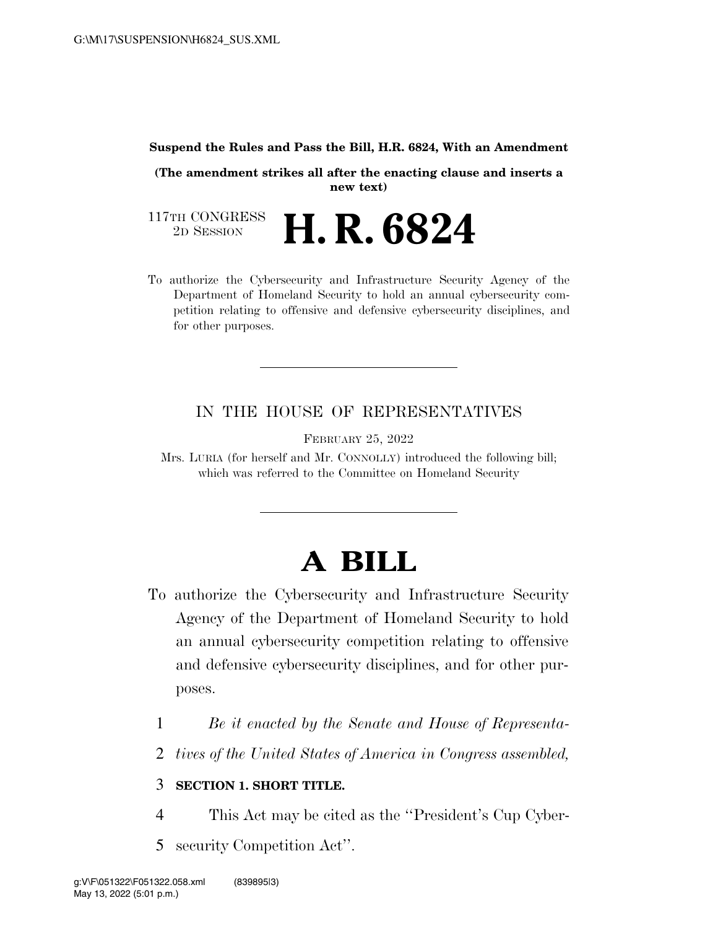#### **Suspend the Rules and Pass the Bill, H.R. 6824, With an Amendment**

**(The amendment strikes all after the enacting clause and inserts a new text)** 

117TH CONGRESS<br>2D SESSION 2D SESSION **H. R. 6824** 

To authorize the Cybersecurity and Infrastructure Security Agency of the Department of Homeland Security to hold an annual cybersecurity competition relating to offensive and defensive cybersecurity disciplines, and for other purposes.

## IN THE HOUSE OF REPRESENTATIVES

FEBRUARY 25, 2022

Mrs. LURIA (for herself and Mr. CONNOLLY) introduced the following bill; which was referred to the Committee on Homeland Security

# **A BILL**

- To authorize the Cybersecurity and Infrastructure Security Agency of the Department of Homeland Security to hold an annual cybersecurity competition relating to offensive and defensive cybersecurity disciplines, and for other purposes.
	- 1 *Be it enacted by the Senate and House of Representa-*
	- 2 *tives of the United States of America in Congress assembled,*

### 3 **SECTION 1. SHORT TITLE.**

- 4 This Act may be cited as the ''President's Cup Cyber-
- 5 security Competition Act''.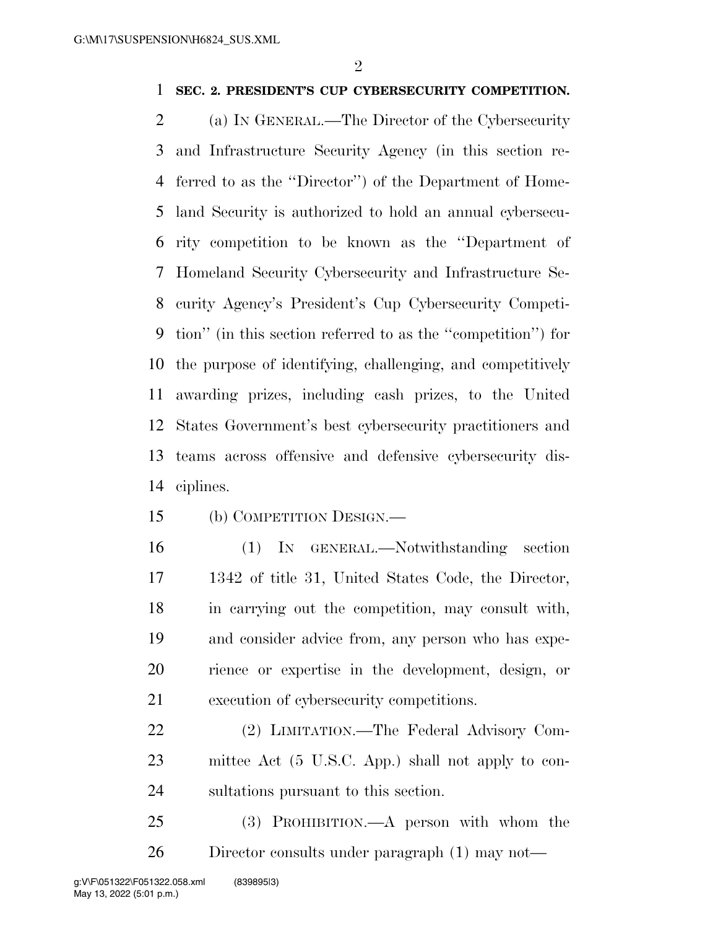### **SEC. 2. PRESIDENT'S CUP CYBERSECURITY COMPETITION.**

 (a) IN GENERAL.—The Director of the Cybersecurity and Infrastructure Security Agency (in this section re- ferred to as the ''Director'') of the Department of Home- land Security is authorized to hold an annual cybersecu- rity competition to be known as the ''Department of Homeland Security Cybersecurity and Infrastructure Se- curity Agency's President's Cup Cybersecurity Competi- tion'' (in this section referred to as the ''competition'') for the purpose of identifying, challenging, and competitively awarding prizes, including cash prizes, to the United States Government's best cybersecurity practitioners and teams across offensive and defensive cybersecurity dis-ciplines.

- (b) COMPETITION DESIGN.—
- 

 (1) IN GENERAL.—Notwithstanding section 1342 of title 31, United States Code, the Director, in carrying out the competition, may consult with, and consider advice from, any person who has expe- rience or expertise in the development, design, or execution of cybersecurity competitions.

 (2) LIMITATION.—The Federal Advisory Com- mittee Act (5 U.S.C. App.) shall not apply to con-sultations pursuant to this section.

 (3) PROHIBITION.—A person with whom the Director consults under paragraph (1) may not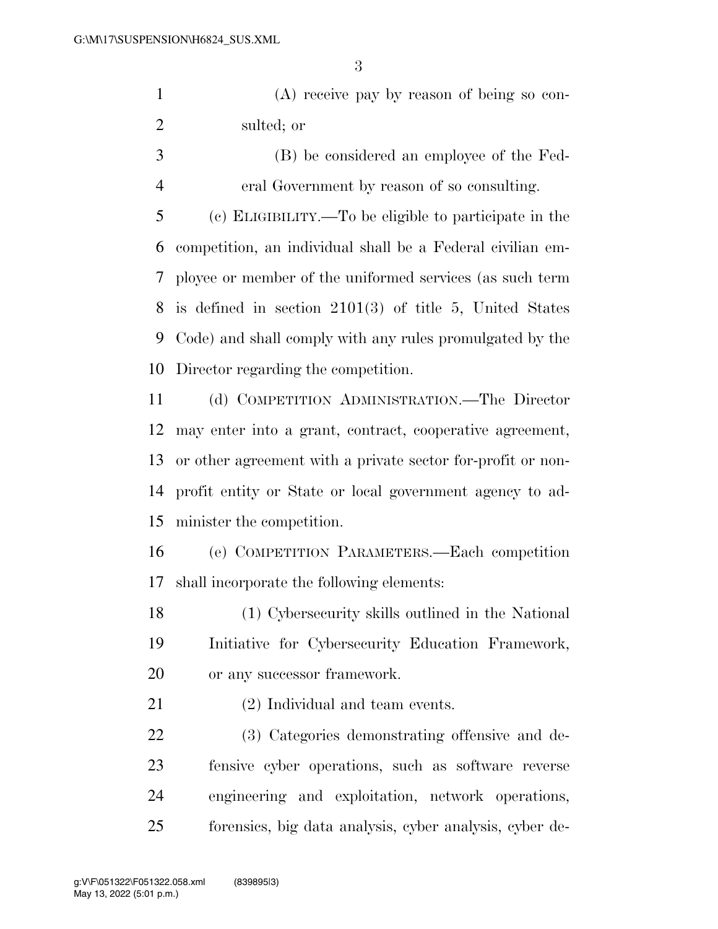(A) receive pay by reason of being so con-sulted; or

 (B) be considered an employee of the Fed-eral Government by reason of so consulting.

 (c) ELIGIBILITY.—To be eligible to participate in the competition, an individual shall be a Federal civilian em- ployee or member of the uniformed services (as such term is defined in section 2101(3) of title 5, United States Code) and shall comply with any rules promulgated by the Director regarding the competition.

 (d) COMPETITION ADMINISTRATION.—The Director may enter into a grant, contract, cooperative agreement, or other agreement with a private sector for-profit or non- profit entity or State or local government agency to ad-minister the competition.

 (e) COMPETITION PARAMETERS.—Each competition shall incorporate the following elements:

 (1) Cybersecurity skills outlined in the National Initiative for Cybersecurity Education Framework, or any successor framework.

(2) Individual and team events.

 (3) Categories demonstrating offensive and de- fensive cyber operations, such as software reverse engineering and exploitation, network operations, forensics, big data analysis, cyber analysis, cyber de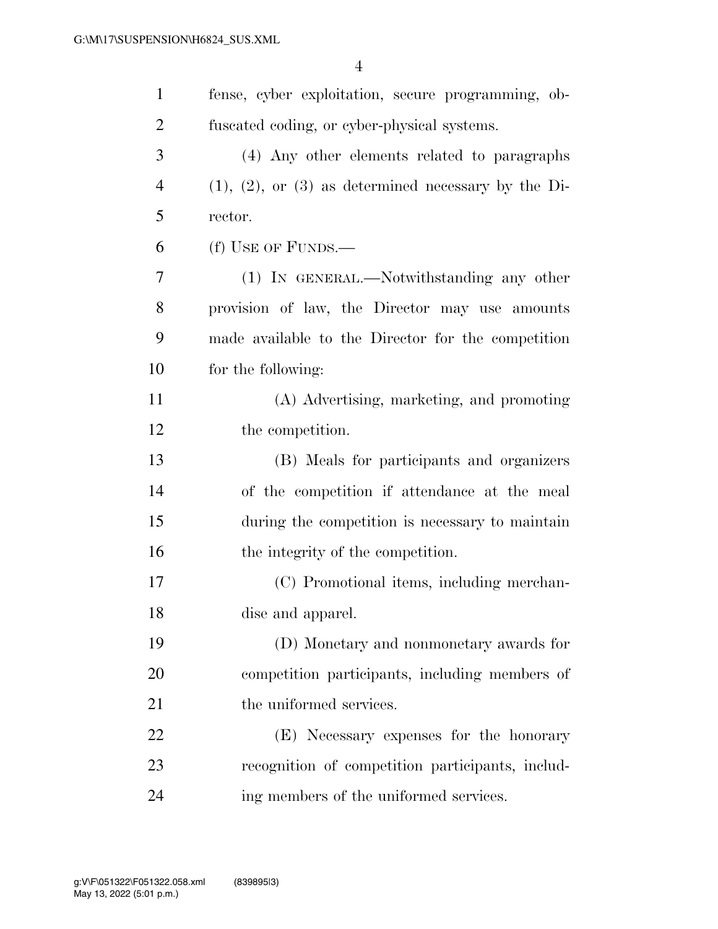| $\mathbf{1}$   | fense, cyber exploitation, secure programming, ob-      |
|----------------|---------------------------------------------------------|
| 2              | fuscated coding, or cyber-physical systems.             |
| 3              | (4) Any other elements related to paragraphs            |
| $\overline{4}$ | $(1), (2),$ or $(3)$ as determined necessary by the Di- |
| 5              | rector.                                                 |
| 6              | (f) USE OF FUNDS.—                                      |
| 7              | (1) IN GENERAL.—Notwithstanding any other               |
| 8              | provision of law, the Director may use amounts          |
| 9              | made available to the Director for the competition      |
| 10             | for the following:                                      |
| 11             | (A) Advertising, marketing, and promoting               |
| 12             | the competition.                                        |
| 13             | (B) Meals for participants and organizers               |
| 14             | of the competition if attendance at the meal            |
| 15             | during the competition is necessary to maintain         |
| 16             | the integrity of the competition.                       |
| 17             | (C) Promotional items, including merchan-               |
| 18             | dise and apparel.                                       |
| 19             | (D) Monetary and nonmonetary awards for                 |
| 20             | competition participants, including members of          |
| 21             | the uniformed services.                                 |
| 22             | (E) Necessary expenses for the honorary                 |
| 23             | recognition of competition participants, includ-        |
| 24             | ing members of the uniformed services.                  |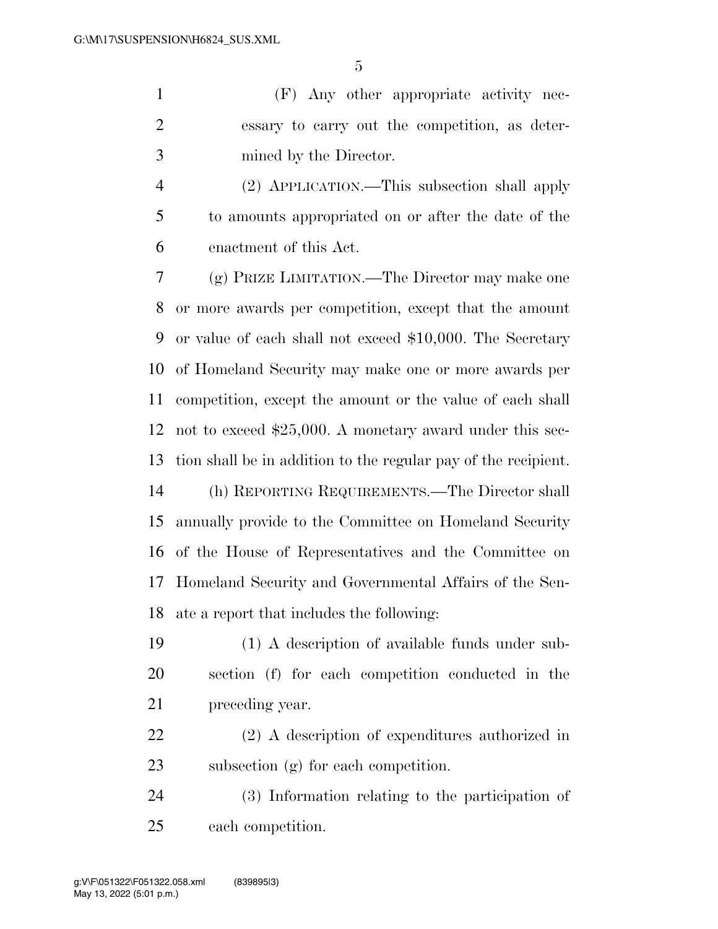(F) Any other appropriate activity nec- essary to carry out the competition, as deter-mined by the Director.

 (2) APPLICATION.—This subsection shall apply to amounts appropriated on or after the date of the enactment of this Act.

 (g) PRIZE LIMITATION.—The Director may make one or more awards per competition, except that the amount or value of each shall not exceed \$10,000. The Secretary of Homeland Security may make one or more awards per competition, except the amount or the value of each shall not to exceed \$25,000. A monetary award under this sec-tion shall be in addition to the regular pay of the recipient.

 (h) REPORTING REQUIREMENTS.—The Director shall annually provide to the Committee on Homeland Security of the House of Representatives and the Committee on Homeland Security and Governmental Affairs of the Sen-ate a report that includes the following:

 (1) A description of available funds under sub- section (f) for each competition conducted in the preceding year.

 (2) A description of expenditures authorized in subsection (g) for each competition.

 (3) Information relating to the participation of each competition.